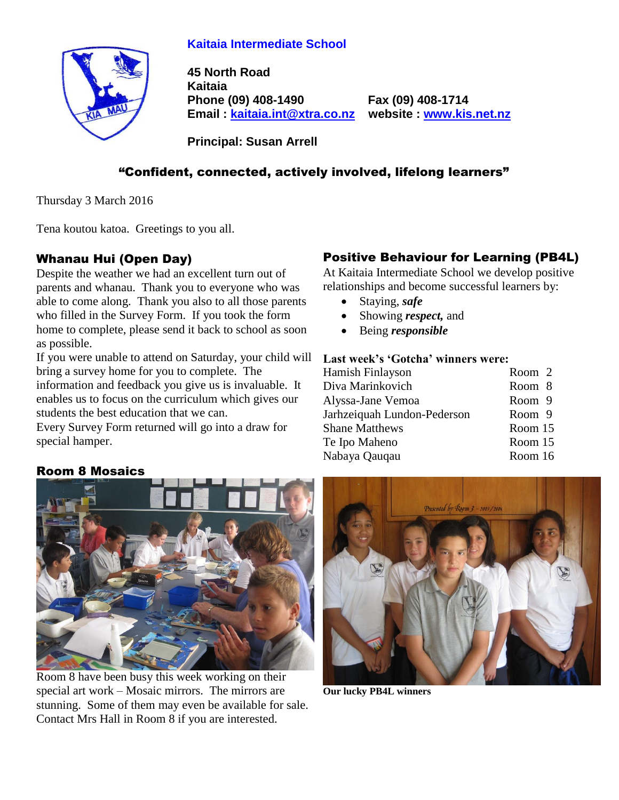## **Kaitaia Intermediate School**



**45 North Road Kaitaia Phone (09) 408-1490 Fax (09) 408-1714 Email : [kaitaia.int@xtra.co.nz](mailto:kaitaia.int@xtra.co.nz) website : [www.kis.net.nz](file:///C:/Documents%20and%20Settings/Principal/Desktop/Kelvin%201/Letterhead%20-%20Kelvin/www.kis.net.nz)**

**Principal: Susan Arrell**

## "Confident, connected, actively involved, lifelong learners"

Thursday 3 March 2016

Tena koutou katoa. Greetings to you all.

#### Whanau Hui (Open Day)

Despite the weather we had an excellent turn out of parents and whanau. Thank you to everyone who was able to come along. Thank you also to all those parents who filled in the Survey Form. If you took the form home to complete, please send it back to school as soon as possible.

If you were unable to attend on Saturday, your child will bring a survey home for you to complete. The information and feedback you give us is invaluable. It enables us to focus on the curriculum which gives our students the best education that we can.

Every Survey Form returned will go into a draw for special hamper.

## Positive Behaviour for Learning (PB4L)

At Kaitaia Intermediate School we develop positive relationships and become successful learners by:

- Staying, *safe*
- Showing *respect*, and
- Being *responsible*

#### **Last week's 'Gotcha' winners were:**

| Hamish Finlayson            | Room 2  |
|-----------------------------|---------|
| Diva Marinkovich            | Room 8  |
| Alyssa-Jane Vemoa           | Room 9  |
| Jarhzeiquah Lundon-Pederson | Room 9  |
| <b>Shane Matthews</b>       | Room 15 |
| Te Ipo Maheno               | Room 15 |
| Nabaya Qauqau               | Room 16 |
|                             |         |

#### Room 8 Mosaics



Room 8 have been busy this week working on their special art work – Mosaic mirrors. The mirrors are stunning. Some of them may even be available for sale. Contact Mrs Hall in Room 8 if you are interested.



**Our lucky PB4L winners**